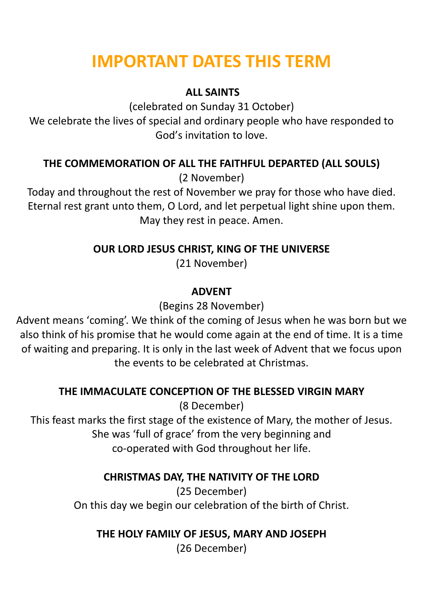# **IMPORTANT DATES THIS TERM**

### **ALL SAINTS**

(celebrated on Sunday 31 October)

We celebrate the lives of special and ordinary people who have responded to God's invitation to love.

# **THE COMMEMORATION OF ALL THE FAITHFUL DEPARTED (ALL SOULS)**

(2 November)

Today and throughout the rest of November we pray for those who have died. Eternal rest grant unto them, O Lord, and let perpetual light shine upon them. May they rest in peace. Amen.

# **OUR LORD JESUS CHRIST, KING OF THE UNIVERSE**

(21 November)

## **ADVENT**

(Begins 28 November)

Advent means 'coming'. We think of the coming of Jesus when he was born but we also think of his promise that he would come again at the end of time. It is a time of waiting and preparing. It is only in the last week of Advent that we focus upon the events to be celebrated at Christmas.

## **THE IMMACULATE CONCEPTION OF THE BLESSED VIRGIN MARY**

(8 December)

This feast marks the first stage of the existence of Mary, the mother of Jesus. She was 'full of grace' from the very beginning and co-operated with God throughout her life.

## **CHRISTMAS DAY, THE NATIVITY OF THE LORD**

(25 December) On this day we begin our celebration of the birth of Christ.

# **THE HOLY FAMILY OF JESUS, MARY AND JOSEPH**

(26 December)